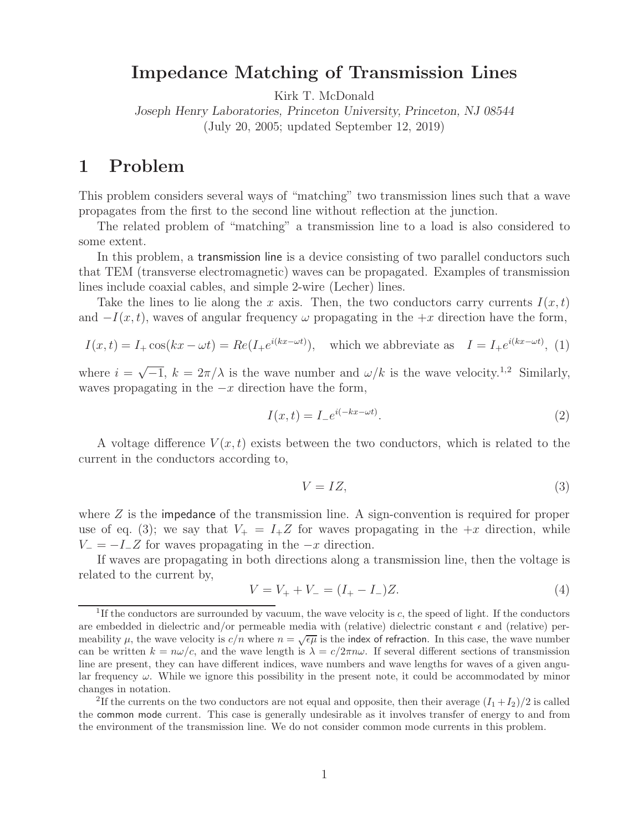## **Impedance Matching of Transmission Lines**

Kirk T. McDonald

*Joseph Henry Laboratories, Princeton University, Princeton, NJ 08544* (July 20, 2005; updated September 12, 2019)

## **1 Problem**

This problem considers several ways of "matching" two transmission lines such that a wave propagates from the first to the second line without reflection at the junction.

The related problem of "matching" a transmission line to a load is also considered to some extent.

In this problem, a transmission line is a device consisting of two parallel conductors such that TEM (transverse electromagnetic) waves can be propagated. Examples of transmission lines include coaxial cables, and simple 2-wire (Lecher) lines.

Take the lines to lie along the x axis. Then, the two conductors carry currents  $I(x,t)$ and  $-I(x, t)$ , waves of angular frequency  $\omega$  propagating in the  $+x$  direction have the form,

$$
I(x,t) = I_+\cos(kx - \omega t) = Re(I_+e^{i(kx - \omega t)}),
$$
 which we abbreviate as  $I = I_+e^{i(kx - \omega t)}$ , (1)

where  $i = \sqrt{-1}$ ,  $k = 2\pi/\lambda$  is the wave number and  $\omega/k$  is the wave velocity.<sup>1,2</sup> Similarly, waves propagating in the  $-x$  direction have the form,

$$
I(x,t) = I - e^{i(-kx - \omega t)}.
$$
\n<sup>(2)</sup>

A voltage difference  $V(x,t)$  exists between the two conductors, which is related to the current in the conductors according to,

$$
V = IZ,\t\t(3)
$$

where  $Z$  is the impedance of the transmission line. A sign-convention is required for proper use of eq. (3); we say that  $V_+ = I_+Z$  for waves propagating in the  $+x$  direction, while  $V = -I_Z$  for waves propagating in the  $-x$  direction.

If waves are propagating in both directions along a transmission line, then the voltage is related to the current by,

$$
V = V_+ + V_- = (I_+ - I_-)Z.
$$
\n<sup>(4)</sup>

<sup>&</sup>lt;sup>1</sup>If the conductors are surrounded by vacuum, the wave velocity is c, the speed of light. If the conductors are embedded in dielectric and/or permeable media with (relative) dielectric constant  $\epsilon$  and (relative) permeability  $\mu$ , the wave velocity is  $c/n$  where  $n = \sqrt{\epsilon \mu}$  is the index of refraction. In this case, the wave number can be written  $k = n\omega/c$ , and the wave length is  $\lambda = c/2\pi n\omega$ . If several different sections of transmission line are present, they can have different indices, wave numbers and wave lengths for waves of a given angular frequency  $\omega$ . While we ignore this possibility in the present note, it could be accommodated by minor changes in notation.

<sup>&</sup>lt;sup>2</sup>If the currents on the two conductors are not equal and opposite, then their average  $(I_1 + I_2)/2$  is called the common mode current. This case is generally undesirable as it involves transfer of energy to and from the environment of the transmission line. We do not consider common mode currents in this problem.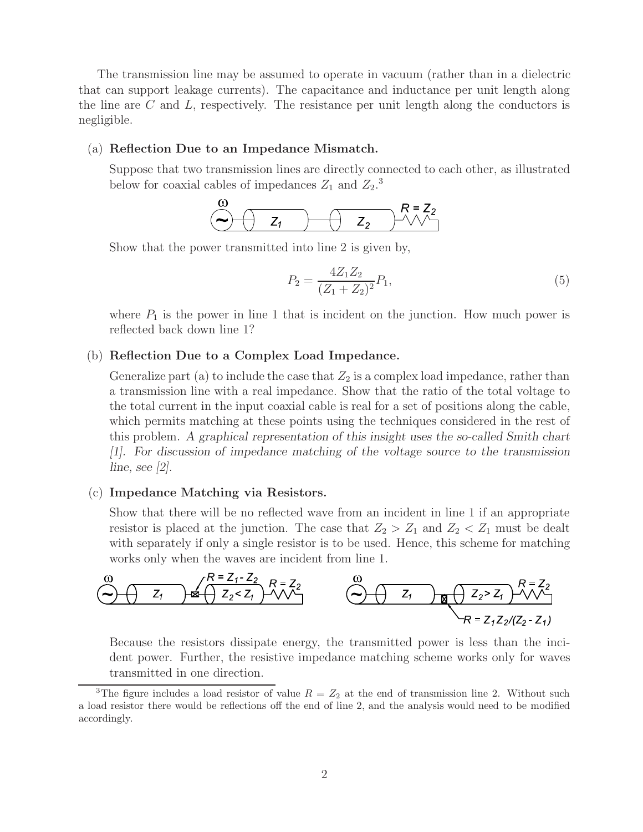The transmission line may be assumed to operate in vacuum (rather than in a dielectric that can support leakage currents). The capacitance and inductance per unit length along the line are  $C$  and  $L$ , respectively. The resistance per unit length along the conductors is negligible.

#### (a) **Reflection Due to an Impedance Mismatch.**

Suppose that two transmission lines are directly connected to each other, as illustrated below for coaxial cables of impedances  $Z_1$  and  $Z_2$ <sup>3</sup>.

$$
\begin{array}{ccc}\n\omega & R = Z_2 \\
\ominus & Z_1\n\end{array}
$$

Show that the power transmitted into line 2 is given by,

$$
P_2 = \frac{4Z_1Z_2}{(Z_1 + Z_2)^2} P_1,\tag{5}
$$

where  $P_1$  is the power in line 1 that is incident on the junction. How much power is reflected back down line 1?

## (b) **Reflection Due to a Complex Load Impedance.**

Generalize part (a) to include the case that  $Z_2$  is a complex load impedance, rather than a transmission line with a real impedance. Show that the ratio of the total voltage to the total current in the input coaxial cable is real for a set of positions along the cable, which permits matching at these points using the techniques considered in the rest of this problem. *A graphical representation of this insight uses the so-called Smith chart [1]. For discussion of impedance matching of the voltage source to the transmission line, see [2].*

#### (c) **Impedance Matching via Resistors.**

Show that there will be no reflected wave from an incident in line 1 if an appropriate resistor is placed at the junction. The case that  $Z_2 > Z_1$  and  $Z_2 < Z_1$  must be dealt with separately if only a single resistor is to be used. Hence, this scheme for matching works only when the waves are incident from line 1.



Because the resistors dissipate energy, the transmitted power is less than the incident power. Further, the resistive impedance matching scheme works only for waves transmitted in one direction.

<sup>&</sup>lt;sup>3</sup>The figure includes a load resistor of value  $R = Z_2$  at the end of transmission line 2. Without such a load resistor there would be reflections off the end of line 2, and the analysis would need to be modified accordingly.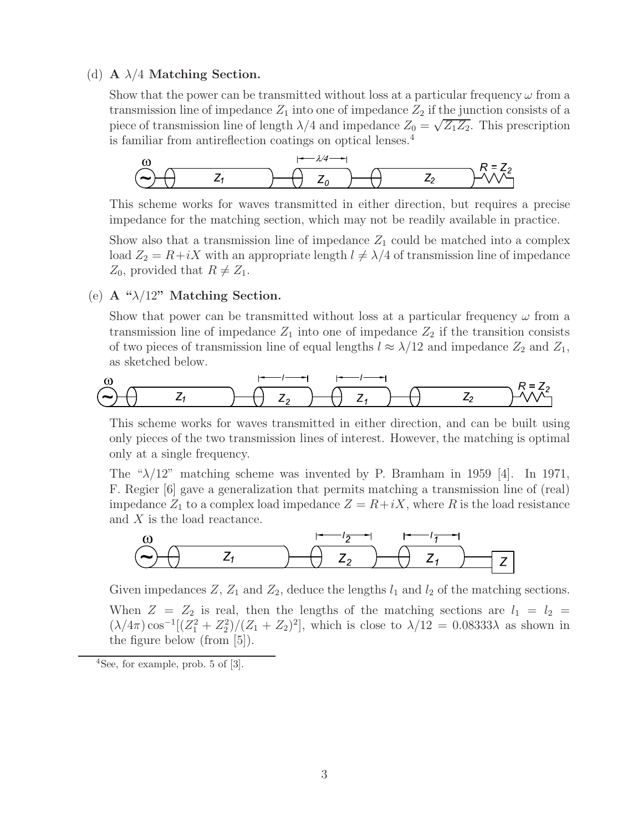## (d) **A** λ/4 **Matching Section.**

Show that the power can be transmitted without loss at a particular frequency  $\omega$  from a transmission line of impedance  $Z_1$  into one of impedance  $Z_2$  if the junction consists of a piece of transmission line of length  $\lambda/4$  and impedance  $Z_0 = \sqrt{Z_1 Z_2}$ . This prescription is familiar from antireflection coatings on optical lenses.<sup>4</sup>



This scheme works for waves transmitted in either direction, but requires a precise impedance for the matching section, which may not be readily available in practice.

Show also that a transmission line of impedance  $Z_1$  could be matched into a complex load  $Z_2 = R + iX$  with an appropriate length  $l \neq \lambda/4$  of transmission line of impedance  $Z_0$ , provided that  $R \neq Z_1$ .

## (e) **A "**λ/12**" Matching Section.**

Show that power can be transmitted without loss at a particular frequency  $\omega$  from a transmission line of impedance  $Z_1$  into one of impedance  $Z_2$  if the transition consists of two pieces of transmission line of equal lengths  $l \approx \lambda/12$  and impedance  $Z_2$  and  $Z_1$ , as sketched below.



This scheme works for waves transmitted in either direction, and can be built using only pieces of the two transmission lines of interest. However, the matching is optimal only at a single frequency.

The " $\lambda/12$ " matching scheme was invented by P. Bramham in 1959 [4]. In 1971, F. Regier [6] gave a generalization that permits matching a transmission line of (real) impedance  $Z_1$  to a complex load impedance  $Z = R + iX$ , where R is the load resistance and X is the load reactance.



Given impedances  $Z$ ,  $Z_1$  and  $Z_2$ , deduce the lengths  $l_1$  and  $l_2$  of the matching sections. When  $Z = Z_2$  is real, then the lengths of the matching sections are  $l_1 = l_2 =$  $(\lambda/4\pi)\cos^{-1}[(Z_1^2+Z_2^2)/(Z_1+Z_2)^2]$ , which is close to  $\lambda/12 = 0.08333\lambda$  as shown in the figure below (from [5]).

 $4$ See, for example, prob. 5 of [3].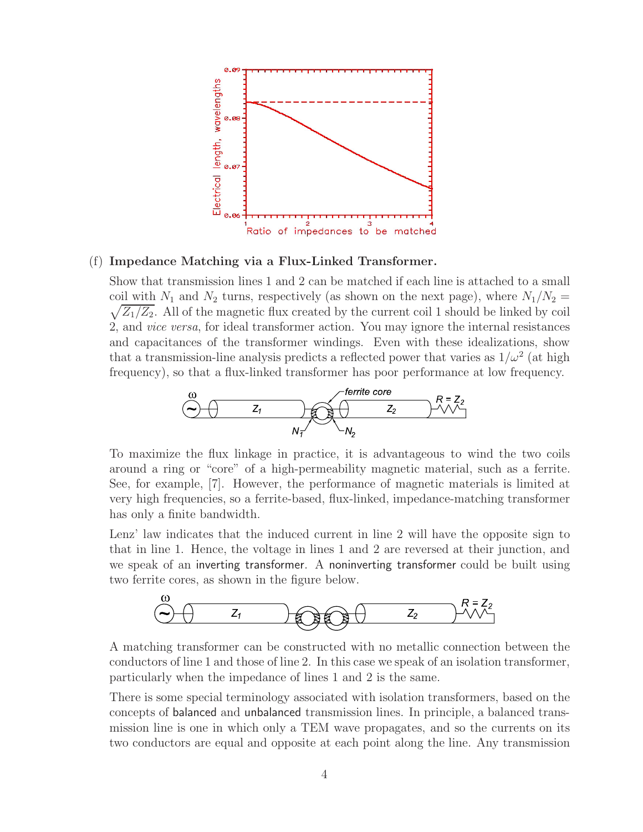

## (f) **Impedance Matching via a Flux-Linked Transformer.**

Show that transmission lines 1 and 2 can be matched if each line is attached to a small  $\sqrt{Z_1/Z_2}$ . All of the magnetic flux created by the current coil 1 should be linked by coil coil with  $N_1$  and  $N_2$  turns, respectively (as shown on the next page), where  $N_1/N_2 =$ 2, and *vice versa*, for ideal transformer action. You may ignore the internal resistances and capacitances of the transformer windings. Even with these idealizations, show that a transmission-line analysis predicts a reflected power that varies as  $1/\omega^2$  (at high frequency), so that a flux-linked transformer has poor performance at low frequency.



To maximize the flux linkage in practice, it is advantageous to wind the two coils around a ring or "core" of a high-permeability magnetic material, such as a ferrite. See, for example, [7]. However, the performance of magnetic materials is limited at very high frequencies, so a ferrite-based, flux-linked, impedance-matching transformer has only a finite bandwidth.

Lenz' law indicates that the induced current in line 2 will have the opposite sign to that in line 1. Hence, the voltage in lines 1 and 2 are reversed at their junction, and we speak of an inverting transformer. A noninverting transformer could be built using two ferrite cores, as shown in the figure below.



A matching transformer can be constructed with no metallic connection between the conductors of line 1 and those of line 2. In this case we speak of an isolation transformer, particularly when the impedance of lines 1 and 2 is the same.

There is some special terminology associated with isolation transformers, based on the concepts of balanced and unbalanced transmission lines. In principle, a balanced transmission line is one in which only a TEM wave propagates, and so the currents on its two conductors are equal and opposite at each point along the line. Any transmission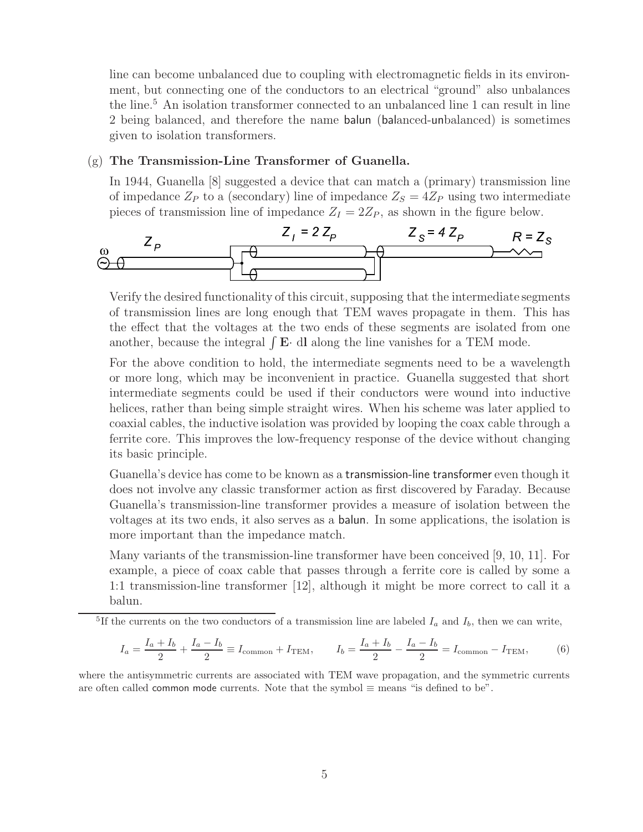line can become unbalanced due to coupling with electromagnetic fields in its environment, but connecting one of the conductors to an electrical "ground" also unbalances the line.<sup>5</sup> An isolation transformer connected to an unbalanced line 1 can result in line 2 being balanced, and therefore the name balun (balanced-unbalanced) is sometimes given to isolation transformers.

## (g) **The Transmission-Line Transformer of Guanella.**

In 1944, Guanella [8] suggested a device that can match a (primary) transmission line of impedance  $Z_P$  to a (secondary) line of impedance  $Z_S = 4Z_P$  using two intermediate pieces of transmission line of impedance  $Z_I = 2Z_P$ , as shown in the figure below.



Verify the desired functionality of this circuit, supposing that the intermediate segments of transmission lines are long enough that TEM waves propagate in them. This has the effect that the voltages at the two ends of these segments are isolated from one another, because the integral  $\int \mathbf{E} \cdot d\mathbf{l}$  along the line vanishes for a TEM mode.

For the above condition to hold, the intermediate segments need to be a wavelength or more long, which may be inconvenient in practice. Guanella suggested that short intermediate segments could be used if their conductors were wound into inductive helices, rather than being simple straight wires. When his scheme was later applied to coaxial cables, the inductive isolation was provided by looping the coax cable through a ferrite core. This improves the low-frequency response of the device without changing its basic principle.

Guanella's device has come to be known as a transmission-line transformer even though it does not involve any classic transformer action as first discovered by Faraday. Because Guanella's transmission-line transformer provides a measure of isolation between the voltages at its two ends, it also serves as a balun. In some applications, the isolation is more important than the impedance match.

Many variants of the transmission-line transformer have been conceived [9, 10, 11]. For example, a piece of coax cable that passes through a ferrite core is called by some a 1:1 transmission-line transformer [12], although it might be more correct to call it a balun.

<sup>5</sup>If the currents on the two conductors of a transmission line are labeled  $I_a$  and  $I_b$ , then we can write,

$$
I_a = \frac{I_a + I_b}{2} + \frac{I_a - I_b}{2} \equiv I_{\text{common}} + I_{\text{TEM}}, \qquad I_b = \frac{I_a + I_b}{2} - \frac{I_a - I_b}{2} = I_{\text{common}} - I_{\text{TEM}}, \tag{6}
$$

where the antisymmetric currents are associated with TEM wave propagation, and the symmetric currents are often called common mode currents. Note that the symbol  $\equiv$  means "is defined to be".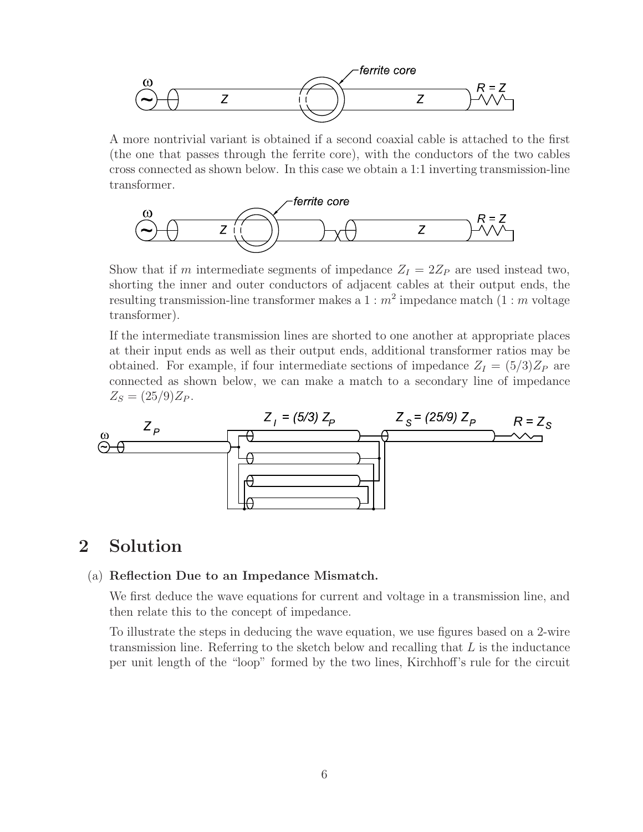

A more nontrivial variant is obtained if a second coaxial cable is attached to the first (the one that passes through the ferrite core), with the conductors of the two cables cross connected as shown below. In this case we obtain a 1:1 inverting transmission-line transformer.



Show that if m intermediate segments of impedance  $Z_I = 2Z_P$  are used instead two, shorting the inner and outer conductors of adjacent cables at their output ends, the resulting transmission-line transformer makes a  $1 : m^2$  impedance match  $(1 : m$  voltage transformer).

If the intermediate transmission lines are shorted to one another at appropriate places at their input ends as well as their output ends, additional transformer ratios may be obtained. For example, if four intermediate sections of impedance  $Z_I = (5/3)Z_P$  are connected as shown below, we can make a match to a secondary line of impedance  $Z_S = (25/9)Z_P$ .



# **2 Solution**

## (a) **Reflection Due to an Impedance Mismatch.**

We first deduce the wave equations for current and voltage in a transmission line, and then relate this to the concept of impedance.

To illustrate the steps in deducing the wave equation, we use figures based on a 2-wire transmission line. Referring to the sketch below and recalling that  $L$  is the inductance per unit length of the "loop" formed by the two lines, Kirchhoff's rule for the circuit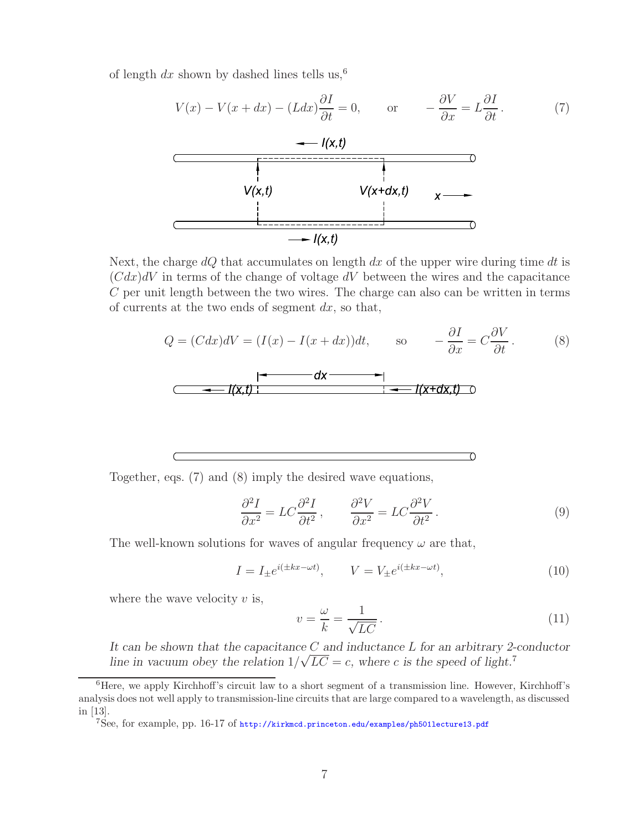of length dx shown by dashed lines tells us,<sup>6</sup>



Next, the charge  $dQ$  that accumulates on length  $dx$  of the upper wire during time  $dt$  is  $(Cdx)dV$  in terms of the change of voltage dV between the wires and the capacitance C per unit length between the two wires. The charge can also can be written in terms of currents at the two ends of segment  $dx$ , so that,

$$
Q = (Cdx)dV = (I(x) - I(x+dx))dt, \t so \t -\frac{\partial I}{\partial x} = C\frac{\partial V}{\partial t}. \t (8)
$$
\n
$$
\begin{array}{ccc}\n & - & -d\mathbf{x} - \mathbf{I} \\
 & - & -I(\mathbf{x},t)\n\end{array}
$$

Together, eqs. (7) and (8) imply the desired wave equations,

$$
\frac{\partial^2 I}{\partial x^2} = LC \frac{\partial^2 I}{\partial t^2}, \qquad \frac{\partial^2 V}{\partial x^2} = LC \frac{\partial^2 V}{\partial t^2}.
$$
 (9)

The well-known solutions for waves of angular frequency  $\omega$  are that,

$$
I = I_{\pm}e^{i(\pm kx - \omega t)}, \qquad V = V_{\pm}e^{i(\pm kx - \omega t)}, \tag{10}
$$

where the wave velocity  $v$  is,

$$
v = \frac{\omega}{k} = \frac{1}{\sqrt{LC}}.
$$
\n(11)

*It can be shown that the capacitance* C *and inductance* L *for an arbitrary 2-conductor line in vacuum obey the relation*  $1/\sqrt{LC} = c$ , where c is the speed of light.<sup>7</sup>

<sup>&</sup>lt;sup>6</sup>Here, we apply Kirchhoff's circuit law to a short segment of a transmission line. However, Kirchhoff's analysis does not well apply to transmission-line circuits that are large compared to a wavelength, as discussed in [13].

<sup>7</sup>See, for example, pp. 16-17 of http://kirkmcd.princeton.edu/examples/ph501lecture13.pdf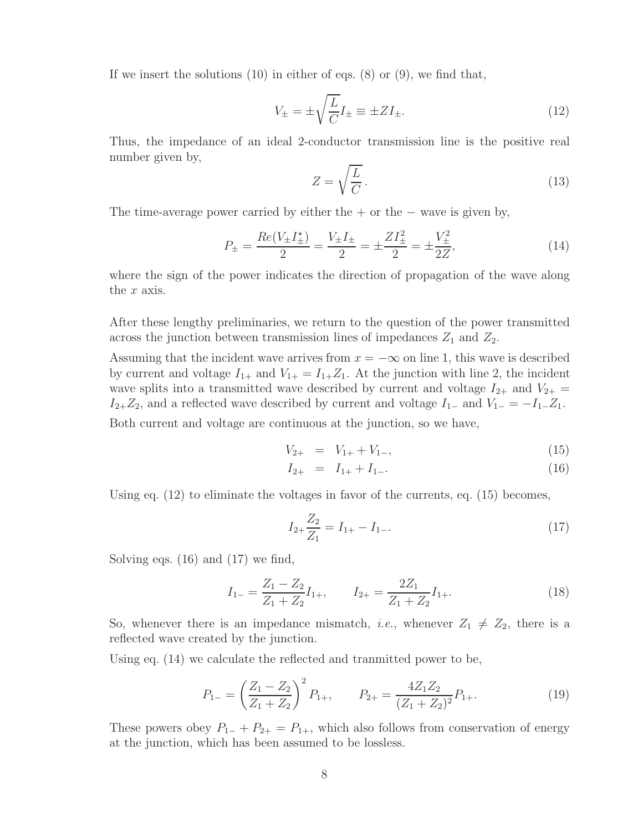If we insert the solutions  $(10)$  in either of eqs.  $(8)$  or  $(9)$ , we find that,

$$
V_{\pm} = \pm \sqrt{\frac{L}{C}} I_{\pm} \equiv \pm Z I_{\pm}.
$$
\n(12)

Thus, the impedance of an ideal 2-conductor transmission line is the positive real number given by,

$$
Z = \sqrt{\frac{L}{C}}.
$$
\n(13)

The time-average power carried by either the  $+$  or the  $-$  wave is given by,

$$
P_{\pm} = \frac{Re(V_{\pm}I_{\pm}^{*})}{2} = \frac{V_{\pm}I_{\pm}}{2} = \pm \frac{ZI_{\pm}^{2}}{2} = \pm \frac{V_{\pm}^{2}}{2Z},
$$
\n(14)

where the sign of the power indicates the direction of propagation of the wave along the  $x$  axis.

After these lengthy preliminaries, we return to the question of the power transmitted across the junction between transmission lines of impedances  $Z_1$  and  $Z_2$ .

Assuming that the incident wave arrives from  $x = -\infty$  on line 1, this wave is described by current and voltage  $I_{1+}$  and  $V_{1+} = I_{1+}Z_1$ . At the junction with line 2, the incident wave splits into a transmitted wave described by current and voltage  $I_{2+}$  and  $V_{2+}$  $I_{2+}Z_2$ , and a reflected wave described by current and voltage  $I_{1-}$  and  $V_{1-} = -I_{1-}Z_1$ .

Both current and voltage are continuous at the junction, so we have,

$$
V_{2+} = V_{1+} + V_{1-}, \tag{15}
$$

$$
I_{2+} = I_{1+} + I_{1-}.
$$
\n(16)

Using eq. (12) to eliminate the voltages in favor of the currents, eq. (15) becomes,

$$
I_{2+} \frac{Z_2}{Z_1} = I_{1+} - I_{1-}.
$$
\n(17)

Solving eqs. (16) and (17) we find,

$$
I_{1-} = \frac{Z_1 - Z_2}{Z_1 + Z_2} I_{1+}, \qquad I_{2+} = \frac{2Z_1}{Z_1 + Z_2} I_{1+}.
$$
\n(18)

So, whenever there is an impedance mismatch, *i.e.*, whenever  $Z_1 \neq Z_2$ , there is a reflected wave created by the junction.

Using eq. (14) we calculate the reflected and tranmitted power to be,

$$
P_{1-} = \left(\frac{Z_1 - Z_2}{Z_1 + Z_2}\right)^2 P_{1+}, \qquad P_{2+} = \frac{4Z_1 Z_2}{(Z_1 + Z_2)^2} P_{1+}.
$$
\n(19)

These powers obey  $P_{1-} + P_{2+} = P_{1+}$ , which also follows from conservation of energy at the junction, which has been assumed to be lossless.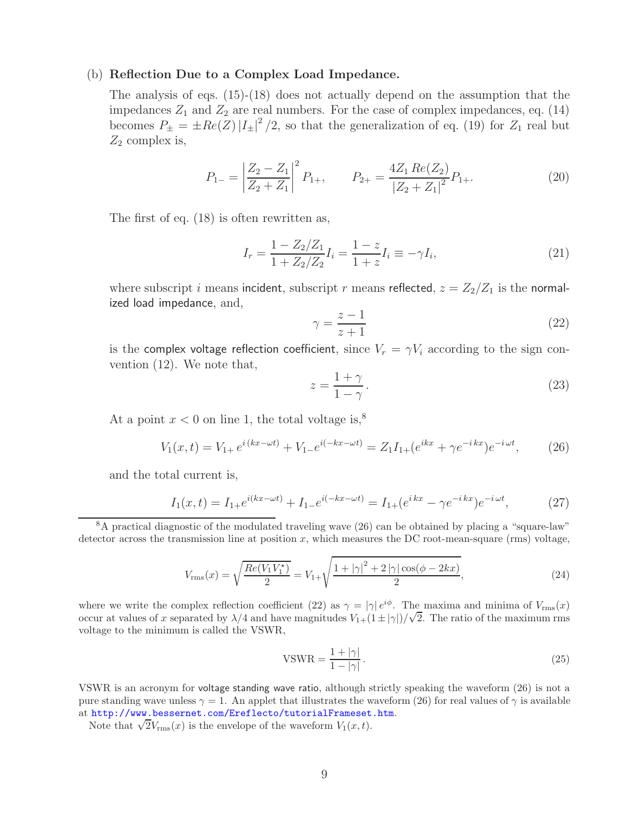## (b) **Reflection Due to a Complex Load Impedance.**

The analysis of eqs. (15)-(18) does not actually depend on the assumption that the impedances  $Z_1$  and  $Z_2$  are real numbers. For the case of complex impedances, eq. (14) becomes  $P_{\pm} = \pm Re(Z) |I_{\pm}|^2/2$ , so that the generalization of eq. (19) for  $Z_1$  real but  $Z_2$  complex is,

$$
P_{1-} = \left| \frac{Z_2 - Z_1}{Z_2 + Z_1} \right|^2 P_{1+}, \qquad P_{2+} = \frac{4Z_1 \operatorname{Re}(Z_2)}{\left| Z_2 + Z_1 \right|^2} P_{1+}.
$$
 (20)

The first of eq. (18) is often rewritten as,

$$
I_r = \frac{1 - Z_2/Z_1}{1 + Z_2/Z_2} I_i = \frac{1 - z}{1 + z} I_i \equiv -\gamma I_i,
$$
\n(21)

where subscript i means incident, subscript r means reflected,  $z = Z_2/Z_1$  is the normalized load impedance, and,

$$
\gamma = \frac{z - 1}{z + 1} \tag{22}
$$

is the complex voltage reflection coefficient, since  $V_r = \gamma V_i$  according to the sign convention (12). We note that,

$$
z = \frac{1+\gamma}{1-\gamma}.\tag{23}
$$

At a point  $x < 0$  on line 1, the total voltage is,<sup>8</sup>

$$
V_1(x,t) = V_{1+}e^{i(kx - \omega t)} + V_{1-}e^{i(-kx - \omega t)} = Z_1 I_{1+}(e^{ikx} + \gamma e^{-ikx})e^{-i\omega t},\tag{26}
$$

and the total current is,

$$
I_1(x,t) = I_{1+}e^{i(kx - \omega t)} + I_{1-}e^{i(-kx - \omega t)} = I_{1+}(e^{ikx} - \gamma e^{-ikx})e^{-i\omega t},
$$
(27)

<sup>8</sup>A practical diagnostic of the modulated traveling wave (26) can be obtained by placing a "square-law" detector across the transmission line at position x, which measures the DC root-mean-square (rms) voltage,

$$
V_{\rm rms}(x) = \sqrt{\frac{Re(V_1 V_1^*)}{2}} = V_{1+} \sqrt{\frac{1 + |\gamma|^2 + 2|\gamma|\cos(\phi - 2kx)}{2}},\tag{24}
$$

where we write the complex reflection coefficient (22) as  $\gamma = |\gamma| e^{i\phi}$ . The maxima and minima of  $V_{\text{rms}}(x)$ occur at values of x separated by  $\lambda/4$  and have magnitudes  $V_{1+}(1 \pm |\gamma|)/\sqrt{2}$ . The ratio of the maximum rms voltage to the minimum is called the VSWR,

$$
VSWR = \frac{1+|\gamma|}{1-|\gamma|}.
$$
\n(25)

VSWR is an acronym for voltage standing wave ratio, although strictly speaking the waveform (26) is not a pure standing wave unless  $\gamma = 1$ . An applet that illustrates the waveform (26) for real values of  $\gamma$  is available at http://www.bessernet.com/Ereflecto/tutorialFrameset.htm.

Note that  $\sqrt{2}V_{\rm rms}(x)$  is the envelope of the waveform  $V_1(x,t)$ .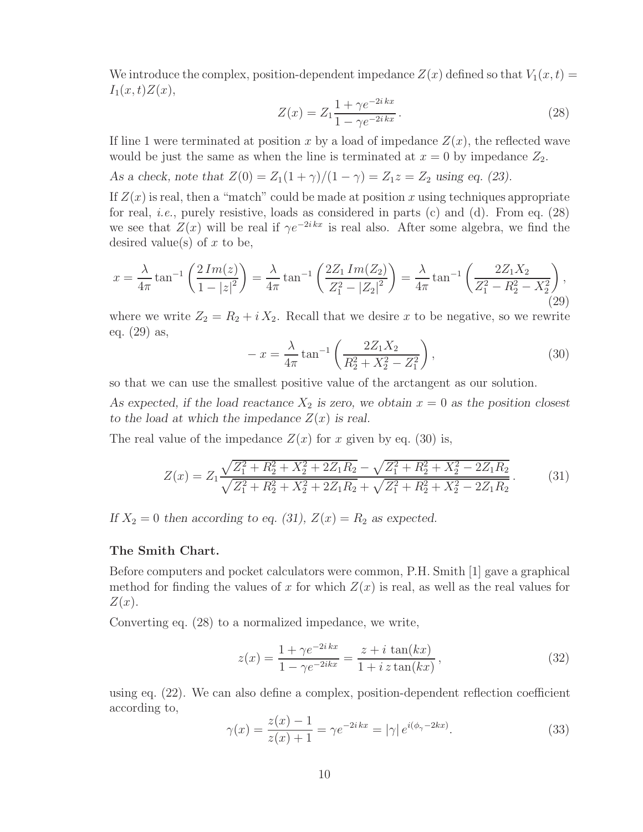We introduce the complex, position-dependent impedance  $Z(x)$  defined so that  $V_1(x,t) =$  $I_1(x,t)Z(x),$ 

$$
Z(x) = Z_1 \frac{1 + \gamma e^{-2ikx}}{1 - \gamma e^{-2ikx}}.
$$
\n(28)

If line 1 were terminated at position x by a load of impedance  $Z(x)$ , the reflected wave would be just the same as when the line is terminated at  $x = 0$  by impedance  $Z_2$ .

*As a check, note that*  $Z(0) = Z_1(1 + \gamma)/(1 - \gamma) = Z_1z = Z_2$  *using eq. (23).* 

If  $Z(x)$  is real, then a "match" could be made at position x using techniques appropriate for real, *i.e.*, purely resistive, loads as considered in parts (c) and (d). From eq. (28) we see that  $Z(x)$  will be real if  $\gamma e^{-2ikx}$  is real also. After some algebra, we find the desired value(s) of  $x$  to be,

$$
x = \frac{\lambda}{4\pi} \tan^{-1} \left( \frac{2\operatorname{Im}(z)}{1 - |z|^2} \right) = \frac{\lambda}{4\pi} \tan^{-1} \left( \frac{2Z_1 \operatorname{Im}(Z_2)}{Z_1^2 - |Z_2|^2} \right) = \frac{\lambda}{4\pi} \tan^{-1} \left( \frac{2Z_1 X_2}{Z_1^2 - R_2^2 - X_2^2} \right),\tag{29}
$$

where we write  $Z_2 = R_2 + i X_2$ . Recall that we desire x to be negative, so we rewrite eq. (29) as,

$$
-x = \frac{\lambda}{4\pi} \tan^{-1} \left( \frac{2Z_1 X_2}{R_2^2 + X_2^2 - Z_1^2} \right),\tag{30}
$$

so that we can use the smallest positive value of the arctangent as our solution.

As expected, if the load reactance  $X_2$  is zero, we obtain  $x = 0$  as the position closest to the load at which the impedance  $Z(x)$  is real.

The real value of the impedance  $Z(x)$  for x given by eq. (30) is,

$$
Z(x) = Z_1 \frac{\sqrt{Z_1^2 + R_2^2 + X_2^2 + 2Z_1 R_2} - \sqrt{Z_1^2 + R_2^2 + X_2^2 - 2Z_1 R_2}}{\sqrt{Z_1^2 + R_2^2 + X_2^2 + 2Z_1 R_2} + \sqrt{Z_1^2 + R_2^2 + X_2^2 - 2Z_1 R_2}}.
$$
(31)

If  $X_2 = 0$  then according to eq. (31),  $Z(x) = R_2$  as expected.

## **The Smith Chart.**

Before computers and pocket calculators were common, P.H. Smith [1] gave a graphical method for finding the values of x for which  $Z(x)$  is real, as well as the real values for  $Z(x)$ .

Converting eq. (28) to a normalized impedance, we write,

$$
z(x) = \frac{1 + \gamma e^{-2ikx}}{1 - \gamma e^{-2ikx}} = \frac{z + i \tan(kx)}{1 + i z \tan(kx)},
$$
\n(32)

using eq. (22). We can also define a complex, position-dependent reflection coefficient according to,

$$
\gamma(x) = \frac{z(x) - 1}{z(x) + 1} = \gamma e^{-2ikx} = |\gamma| e^{i(\phi_{\gamma} - 2kx)}.
$$
\n(33)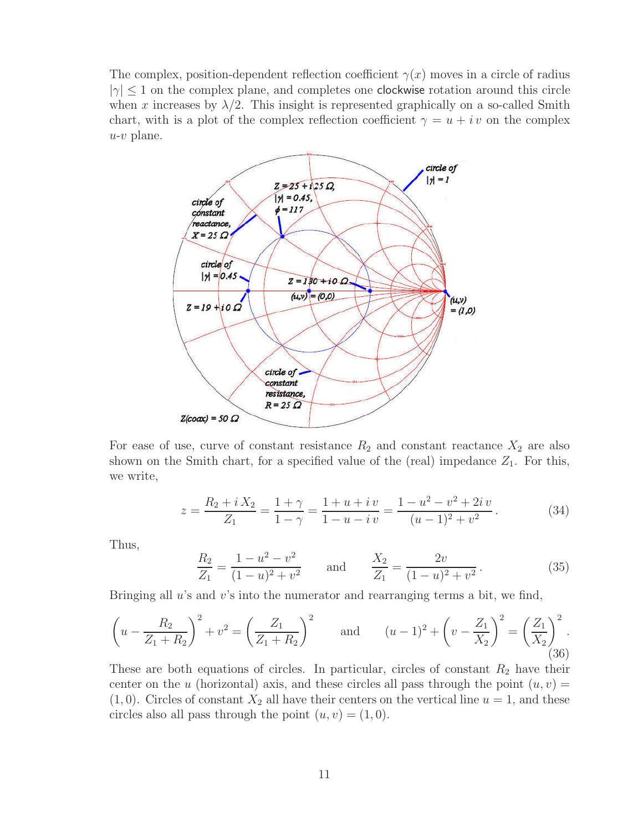The complex, position-dependent reflection coefficient  $\gamma(x)$  moves in a circle of radius  $|\gamma| \leq 1$  on the complex plane, and completes one clockwise rotation around this circle when x increases by  $\lambda/2$ . This insight is represented graphically on a so-called Smith chart, with is a plot of the complex reflection coefficient  $\gamma = u + iv$  on the complex  $u-v$  plane.



For ease of use, curve of constant resistance  $R_2$  and constant reactance  $X_2$  are also shown on the Smith chart, for a specified value of the (real) impedance  $Z_1$ . For this, we write,

$$
z = \frac{R_2 + iX_2}{Z_1} = \frac{1+\gamma}{1-\gamma} = \frac{1+u+i v}{1-u-iv} = \frac{1-u^2-v^2+2i v}{(u-1)^2+v^2}.
$$
 (34)

Thus,

$$
\frac{R_2}{Z_1} = \frac{1 - u^2 - v^2}{(1 - u)^2 + v^2} \quad \text{and} \quad \frac{X_2}{Z_1} = \frac{2v}{(1 - u)^2 + v^2}.
$$
 (35)

Bringing all  $u$ 's and  $v$ 's into the numerator and rearranging terms a bit, we find,

$$
\left(u - \frac{R_2}{Z_1 + R_2}\right)^2 + v^2 = \left(\frac{Z_1}{Z_1 + R_2}\right)^2 \quad \text{and} \quad (u - 1)^2 + \left(v - \frac{Z_1}{X_2}\right)^2 = \left(\frac{Z_1}{X_2}\right)^2.
$$
\n(36)

These are both equations of circles. In particular, circles of constant  $R_2$  have their center on the u (horizontal) axis, and these circles all pass through the point  $(u, v) =$  $(1, 0)$ . Circles of constant  $X_2$  all have their centers on the vertical line  $u = 1$ , and these circles also all pass through the point  $(u, v) = (1, 0)$ .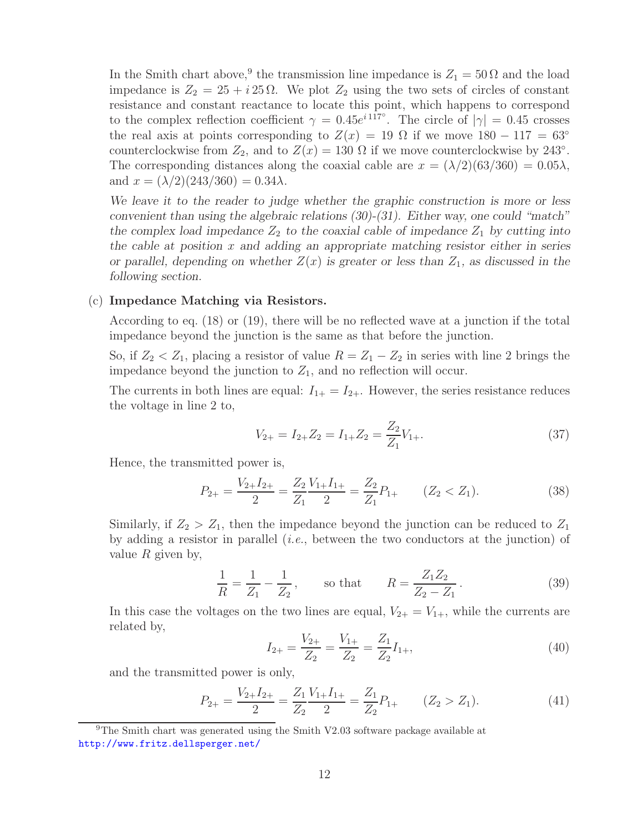In the Smith chart above,<sup>9</sup> the transmission line impedance is  $Z_1 = 50 \Omega$  and the load impedance is  $Z_2 = 25 + i 25 \Omega$ . We plot  $Z_2$  using the two sets of circles of constant resistance and constant reactance to locate this point, which happens to correspond to the complex reflection coefficient  $\gamma = 0.45e^{i 117^{\circ}}$ . The circle of  $|\gamma| = 0.45$  crosses the real axis at points corresponding to  $Z(x) = 19 \Omega$  if we move  $180 - 117 = 63°$ counterclockwise from  $Z_2$ , and to  $Z(x) = 130 \Omega$  if we move counterclockwise by 243°. The corresponding distances along the coaxial cable are  $x = (\lambda/2)(63/360) = 0.05\lambda$ , and  $x = (\lambda/2)(243/360) = 0.34\lambda$ .

*We leave it to the reader to judge whether the graphic construction is more or less convenient than using the algebraic relations (30)-(31). Either way, one could "match"* the complex load impedance  $Z_2$  to the coaxial cable of impedance  $Z_1$  by cutting into *the cable at position* x *and adding an appropriate matching resistor either in series or parallel, depending on whether*  $Z(x)$  *is greater or less than*  $Z_1$ *, as discussed in the following section.*

## (c) **Impedance Matching via Resistors.**

According to eq. (18) or (19), there will be no reflected wave at a junction if the total impedance beyond the junction is the same as that before the junction.

So, if  $Z_2 < Z_1$ , placing a resistor of value  $R = Z_1 - Z_2$  in series with line 2 brings the impedance beyond the junction to  $Z_1$ , and no reflection will occur.

The currents in both lines are equal:  $I_{1+} = I_{2+}$ . However, the series resistance reduces the voltage in line 2 to,

$$
V_{2+} = I_{2+}Z_2 = I_{1+}Z_2 = \frac{Z_2}{Z_1}V_{1+}.
$$
\n(37)

Hence, the transmitted power is,

$$
P_{2+} = \frac{V_{2+}I_{2+}}{2} = \frac{Z_2}{Z_1} \frac{V_{1+}I_{1+}}{2} = \frac{Z_2}{Z_1} P_{1+} \qquad (Z_2 < Z_1). \tag{38}
$$

Similarly, if  $Z_2 > Z_1$ , then the impedance beyond the junction can be reduced to  $Z_1$ by adding a resistor in parallel (*i.e.*, between the two conductors at the junction) of value  $R$  given by,

$$
\frac{1}{R} = \frac{1}{Z_1} - \frac{1}{Z_2}, \qquad \text{so that} \qquad R = \frac{Z_1 Z_2}{Z_2 - Z_1}.
$$
 (39)

In this case the voltages on the two lines are equal,  $V_{2+} = V_{1+}$ , while the currents are related by,

$$
I_{2+} = \frac{V_{2+}}{Z_2} = \frac{V_{1+}}{Z_2} = \frac{Z_1}{Z_2} I_{1+},\tag{40}
$$

and the transmitted power is only,

$$
P_{2+} = \frac{V_{2+}I_{2+}}{2} = \frac{Z_1}{Z_2} \frac{V_{1+}I_{1+}}{2} = \frac{Z_1}{Z_2} P_{1+} \qquad (Z_2 > Z_1). \tag{41}
$$

 $9$ The Smith chart was generated using the Smith V2.03 software package available at http://www.fritz.dellsperger.net/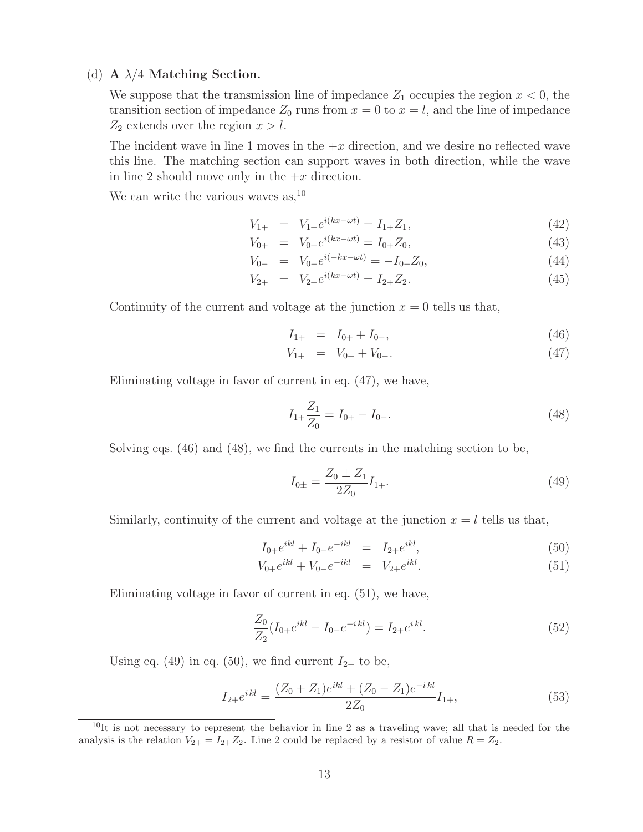## (d) **A** λ/4 **Matching Section.**

We suppose that the transmission line of impedance  $Z_1$  occupies the region  $x < 0$ , the transition section of impedance  $Z_0$  runs from  $x = 0$  to  $x = l$ , and the line of impedance  $Z_2$  extends over the region  $x > l$ .

The incident wave in line 1 moves in the  $+x$  direction, and we desire no reflected wave this line. The matching section can support waves in both direction, while the wave in line 2 should move only in the  $+x$  direction.

We can write the various waves as,  $^{10}$ 

$$
V_{1+} = V_{1+}e^{i(kx - \omega t)} = I_{1+}Z_1,\tag{42}
$$

$$
V_{0+} = V_{0+}e^{i(kx - \omega t)} = I_{0+}Z_0,
$$
\n(43)

$$
V_{0-} = V_{0-}e^{i(-kx - \omega t)} = -I_{0-}Z_0,
$$
\n(44)

$$
V_{2+} = V_{2+}e^{i(kx - \omega t)} = I_{2+}Z_2.
$$
\n(45)

Continuity of the current and voltage at the junction  $x = 0$  tells us that,

$$
I_{1+} = I_{0+} + I_{0-}, \tag{46}
$$

$$
V_{1+} = V_{0+} + V_{0-}.
$$
\n(47)

Eliminating voltage in favor of current in eq. (47), we have,

$$
I_{1+}\frac{Z_1}{Z_0} = I_{0+} - I_{0-}.\tag{48}
$$

Solving eqs. (46) and (48), we find the currents in the matching section to be,

$$
I_{0\pm} = \frac{Z_0 \pm Z_1}{2Z_0} I_{1+}.
$$
\n(49)

Similarly, continuity of the current and voltage at the junction  $x = l$  tells us that,

$$
I_{0+}e^{ikl} + I_{0-}e^{-ikl} = I_{2+}e^{ikl}, \t\t(50)
$$

$$
V_{0+}e^{ikl} + V_{0-}e^{-ikl} = V_{2+}e^{ikl}.
$$
\n(51)

Eliminating voltage in favor of current in eq. (51), we have,

$$
\frac{Z_0}{Z_2}(I_{0+}e^{ikl} - I_{0-}e^{-ikl}) = I_{2+}e^{ikl}.
$$
\n(52)

Using eq. (49) in eq. (50), we find current  $I_{2+}$  to be,

$$
I_{2+}e^{ikl} = \frac{(Z_0 + Z_1)e^{ikl} + (Z_0 - Z_1)e^{-ikl}}{2Z_0}I_{1+},
$$
\n(53)

 $10$ It is not necessary to represent the behavior in line 2 as a traveling wave; all that is needed for the analysis is the relation  $V_{2+} = I_{2+}Z_2$ . Line 2 could be replaced by a resistor of value  $R = Z_2$ .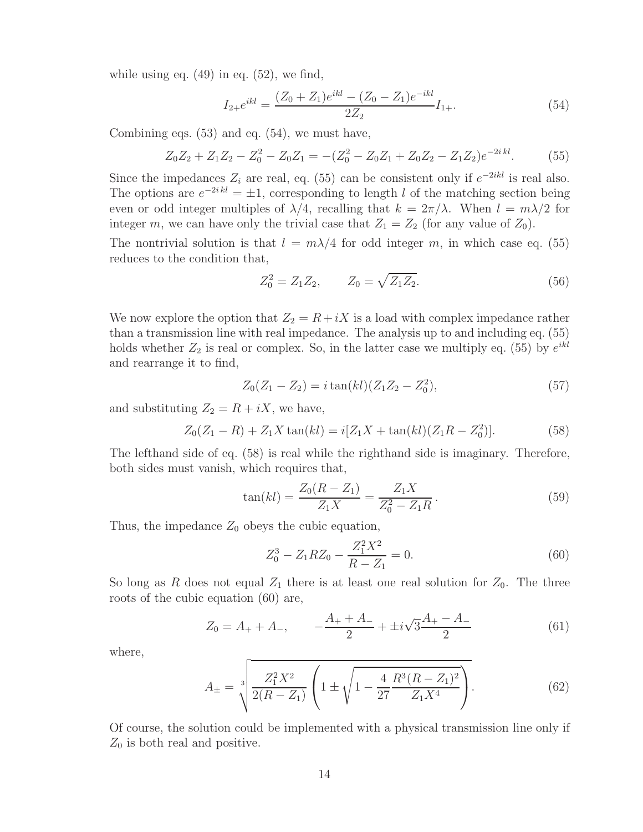while using eq.  $(49)$  in eq.  $(52)$ , we find,

$$
I_{2+}e^{ikl} = \frac{(Z_0 + Z_1)e^{ikl} - (Z_0 - Z_1)e^{-ikl}}{2Z_2}I_{1+}.
$$
\n(54)

Combining eqs. (53) and eq. (54), we must have,

$$
Z_0 Z_2 + Z_1 Z_2 - Z_0^2 - Z_0 Z_1 = -(Z_0^2 - Z_0 Z_1 + Z_0 Z_2 - Z_1 Z_2)e^{-2ikl}.
$$
 (55)

Since the impedances  $Z_i$  are real, eq. (55) can be consistent only if  $e^{-2ikl}$  is real also. The options are  $e^{-2ikl} = \pm 1$ , corresponding to length l of the matching section being even or odd integer multiples of  $\lambda/4$ , recalling that  $k = 2\pi/\lambda$ . When  $l = m\lambda/2$  for integer m, we can have only the trivial case that  $Z_1 = Z_2$  (for any value of  $Z_0$ ).

The nontrivial solution is that  $l = m\lambda/4$  for odd integer m, in which case eq. (55) reduces to the condition that,

$$
Z_0^2 = Z_1 Z_2, \qquad Z_0 = \sqrt{Z_1 Z_2}.
$$
\n(56)

We now explore the option that  $Z_2 = R + iX$  is a load with complex impedance rather than a transmission line with real impedance. The analysis up to and including eq. (55) holds whether  $Z_2$  is real or complex. So, in the latter case we multiply eq. (55) by  $e^{ikl}$ and rearrange it to find,

$$
Z_0(Z_1 - Z_2) = i \tan(kl)(Z_1 Z_2 - Z_0^2), \tag{57}
$$

and substituting  $Z_2 = R + iX$ , we have,

$$
Z_0(Z_1 - R) + Z_1 X \tan(kl) = i[Z_1 X + \tan(kl)(Z_1 R - Z_0^2)].
$$
\n(58)

The lefthand side of eq. (58) is real while the righthand side is imaginary. Therefore, both sides must vanish, which requires that,

$$
\tan(kl) = \frac{Z_0(R - Z_1)}{Z_1 X} = \frac{Z_1 X}{Z_0^2 - Z_1 R}.
$$
\n(59)

Thus, the impedance  $Z_0$  obeys the cubic equation,

$$
Z_0^3 - Z_1 R Z_0 - \frac{Z_1^2 X^2}{R - Z_1} = 0.
$$
\n(60)

So long as R does not equal  $Z_1$  there is at least one real solution for  $Z_0$ . The three roots of the cubic equation (60) are,

$$
Z_0 = A_+ + A_-, \qquad -\frac{A_+ + A_-}{2} + \pm i\sqrt{3}\frac{A_+ - A_-}{2} \tag{61}
$$

where,

$$
A_{\pm} = \sqrt[3]{\frac{Z_1^2 X^2}{2(R - Z_1)} \left(1 \pm \sqrt{1 - \frac{4}{27} \frac{R^3 (R - Z_1)^2}{Z_1 X^4}}\right)}.
$$
 (62)

Of course, the solution could be implemented with a physical transmission line only if  $Z_0$  is both real and positive.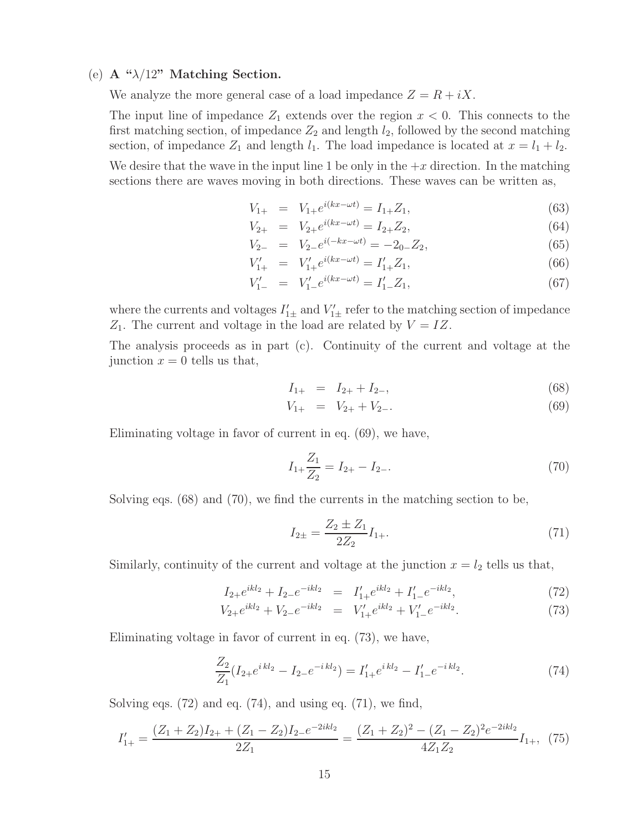## (e) **A "**λ/12**" Matching Section.**

We analyze the more general case of a load impedance  $Z = R + iX$ .

The input line of impedance  $Z_1$  extends over the region  $x < 0$ . This connects to the first matching section, of impedance  $Z_2$  and length  $l_2$ , followed by the second matching section, of impedance  $Z_1$  and length  $l_1$ . The load impedance is located at  $x = l_1 + l_2$ .

We desire that the wave in the input line 1 be only in the  $+x$  direction. In the matching sections there are waves moving in both directions. These waves can be written as,

$$
V_{1+} = V_{1+}e^{i(kx - \omega t)} = I_{1+}Z_1,\tag{63}
$$

$$
V_{2+} = V_{2+}e^{i(kx - \omega t)} = I_{2+}Z_2,
$$
\n(64)

$$
V_{2-} = V_{2-}e^{i(-kx - \omega t)} = -2_{0-}Z_2,
$$
\n(65)

$$
V'_{1+} = V'_{1+}e^{i(kx - \omega t)} = I'_{1+}Z_1,\tag{66}
$$

$$
V'_{1-} = V'_{1-}e^{i(kx - \omega t)} = I'_{1-}Z_1,\tag{67}
$$

where the currents and voltages  $I'_{1\pm}$  and  $V'_{1\pm}$  refer to the matching section of impedance  $Z_1$ . The current and voltage in the load are related by  $V = IZ$ .

The analysis proceeds as in part (c). Continuity of the current and voltage at the junction  $x = 0$  tells us that,

$$
I_{1+} = I_{2+} + I_{2-}, \tag{68}
$$

$$
V_{1+} = V_{2+} + V_{2-}.
$$
\n(69)

Eliminating voltage in favor of current in eq. (69), we have,

$$
I_{1+}\frac{Z_1}{Z_2} = I_{2+} - I_{2-}.\tag{70}
$$

Solving eqs. (68) and (70), we find the currents in the matching section to be,

$$
I_{2\pm} = \frac{Z_2 \pm Z_1}{2Z_2} I_{1+}.
$$
\n(71)

Similarly, continuity of the current and voltage at the junction  $x = l_2$  tells us that,

$$
I_{2+}e^{ikl_2} + I_{2-}e^{-ikl_2} = I'_{1+}e^{ikl_2} + I'_{1-}e^{-ikl_2},\tag{72}
$$

$$
V_{2+}e^{ikl_2} + V_{2-}e^{-ikl_2} = V'_{1+}e^{ikl_2} + V'_{1-}e^{-ikl_2}.
$$
\n(73)

Eliminating voltage in favor of current in eq. (73), we have,

$$
\frac{Z_2}{Z_1}(I_{2+}e^{ikl_2} - I_{2-}e^{-ikl_2}) = I'_{1+}e^{ikl_2} - I'_{1-}e^{-ikl_2}.
$$
\n(74)

Solving eqs.  $(72)$  and eq.  $(74)$ , and using eq.  $(71)$ , we find,

$$
I'_{1+} = \frac{(Z_1 + Z_2)I_{2+} + (Z_1 - Z_2)I_{2-}e^{-2ikl_2}}{2Z_1} = \frac{(Z_1 + Z_2)^2 - (Z_1 - Z_2)^2e^{-2ikl_2}}{4Z_1Z_2}I_{1+},
$$
 (75)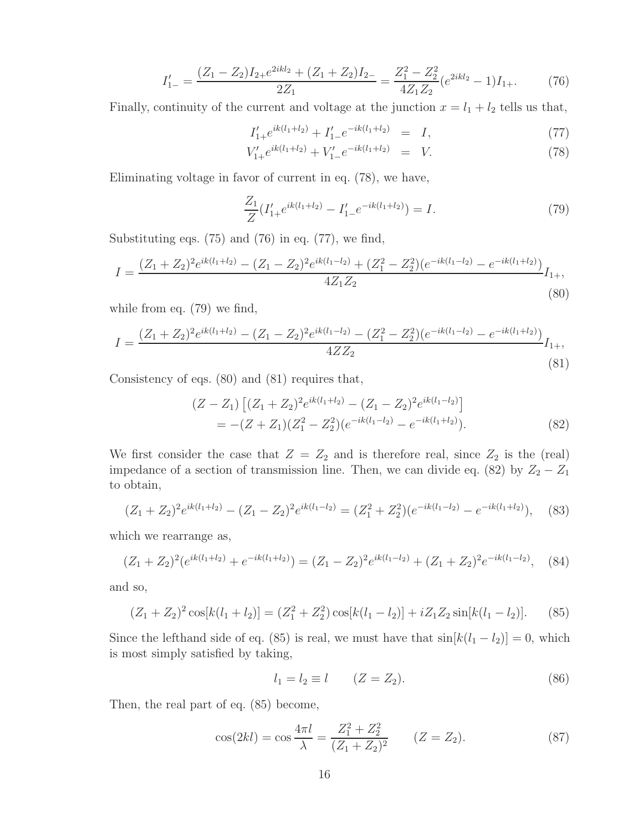$$
I'_{1-} = \frac{(Z_1 - Z_2)I_{2+}e^{2ikl_2} + (Z_1 + Z_2)I_{2-}}{2Z_1} = \frac{Z_1^2 - Z_2^2}{4Z_1Z_2}(e^{2ikl_2} - 1)I_{1+}.
$$
 (76)

Finally, continuity of the current and voltage at the junction  $x = l_1 + l_2$  tells us that,

$$
I'_{1+}e^{ik(l_1+l_2)} + I'_{1-}e^{-ik(l_1+l_2)} = I,
$$
\n(77)

$$
V'_{1+}e^{ik(l_1+l_2)} + V'_{1-}e^{-ik(l_1+l_2)} = V.
$$
\n(78)

Eliminating voltage in favor of current in eq. (78), we have,

$$
\frac{Z_1}{Z}(I'_1 + e^{ik(l_1 + l_2)} - I'_1 - e^{-ik(l_1 + l_2)}) = I.
$$
\n(79)

Substituting eqs.  $(75)$  and  $(76)$  in eq.  $(77)$ , we find,

$$
I = \frac{(Z_1 + Z_2)^2 e^{ik(l_1 + l_2)} - (Z_1 - Z_2)^2 e^{ik(l_1 - l_2)} + (Z_1^2 - Z_2^2)(e^{-ik(l_1 - l_2)} - e^{-ik(l_1 + l_2)})}{4Z_1 Z_2} I_{1+},
$$
\n(80)

while from eq. (79) we find,

$$
I = \frac{(Z_1 + Z_2)^2 e^{ik(l_1 + l_2)} - (Z_1 - Z_2)^2 e^{ik(l_1 - l_2)} - (Z_1^2 - Z_2^2)(e^{-ik(l_1 - l_2)} - e^{-ik(l_1 + l_2)})}{4Z Z_2} I_{1+},
$$
\n(81)

Consistency of eqs. (80) and (81) requires that,

$$
(Z - Z_1) \left[ (Z_1 + Z_2)^2 e^{ik(l_1 + l_2)} - (Z_1 - Z_2)^2 e^{ik(l_1 - l_2)} \right]
$$
  
= -(Z + Z\_1)(Z\_1^2 - Z\_2^2)(e^{-ik(l\_1 - l\_2)} - e^{-ik(l\_1 + l\_2)}). (82)

We first consider the case that  $Z = Z_2$  and is therefore real, since  $Z_2$  is the (real) impedance of a section of transmission line. Then, we can divide eq. (82) by  $Z_2 - Z_1$ to obtain,

$$
(Z_1 + Z_2)^2 e^{ik(l_1 + l_2)} - (Z_1 - Z_2)^2 e^{ik(l_1 - l_2)} = (Z_1^2 + Z_2^2)(e^{-ik(l_1 - l_2)} - e^{-ik(l_1 + l_2)}),
$$
 (83)

which we rearrange as,

$$
(Z_1 + Z_2)^2(e^{ik(l_1 + l_2)} + e^{-ik(l_1 + l_2)}) = (Z_1 - Z_2)^2 e^{ik(l_1 - l_2)} + (Z_1 + Z_2)^2 e^{-ik(l_1 - l_2)}, \quad (84)
$$

and so,

$$
(Z_1 + Z_2)^2 \cos[k(l_1 + l_2)] = (Z_1^2 + Z_2^2) \cos[k(l_1 - l_2)] + iZ_1 Z_2 \sin[k(l_1 - l_2)].
$$
 (85)

Since the lefthand side of eq. (85) is real, we must have that  $sin[k(l_1 - l_2)] = 0$ , which is most simply satisfied by taking,

$$
l_1 = l_2 \equiv l \qquad (Z = Z_2). \tag{86}
$$

Then, the real part of eq. (85) become,

$$
\cos(2kl) = \cos\frac{4\pi l}{\lambda} = \frac{Z_1^2 + Z_2^2}{(Z_1 + Z_2)^2} \qquad (Z = Z_2). \tag{87}
$$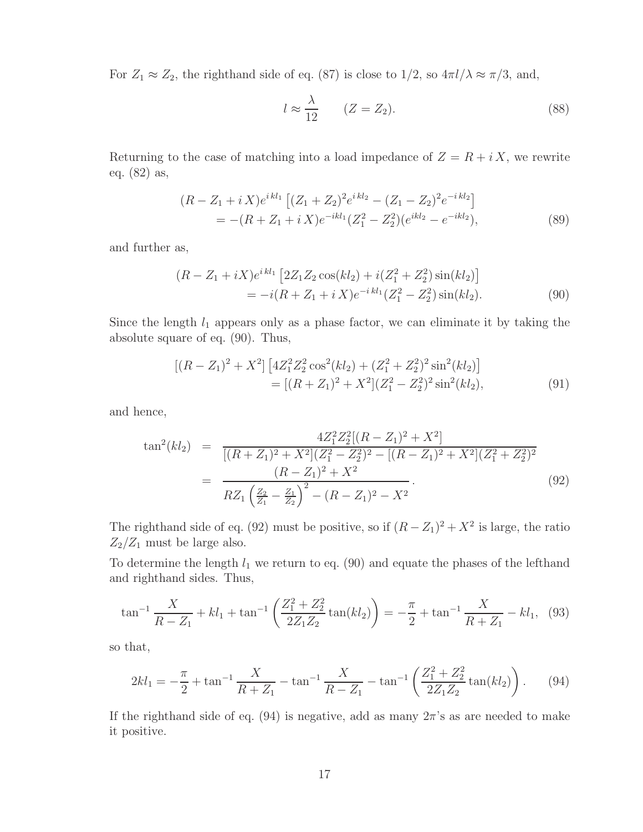For  $Z_1 \approx Z_2$ , the righthand side of eq. (87) is close to  $1/2$ , so  $4\pi l/\lambda \approx \pi/3$ , and,

$$
l \approx \frac{\lambda}{12} \qquad (Z = Z_2). \tag{88}
$$

Returning to the case of matching into a load impedance of  $Z = R + iX$ , we rewrite eq. (82) as,

$$
(R - Z_1 + i X)e^{i k l_1} [(Z_1 + Z_2)^2 e^{i k l_2} - (Z_1 - Z_2)^2 e^{-i k l_2}]
$$
  
= -(R + Z\_1 + i X)e^{-i k l\_1} (Z\_1^2 - Z\_2^2)(e^{i k l\_2} - e^{-i k l\_2}), (89)

and further as,

$$
(R - Z_1 + iX)e^{i k l_1} [2Z_1 Z_2 \cos(k l_2) + i(Z_1^2 + Z_2^2) \sin(k l_2)]
$$
  
= 
$$
-i(R + Z_1 + iX)e^{-i k l_1} (Z_1^2 - Z_2^2) \sin(k l_2).
$$
 (90)

Since the length  $l_1$  appears only as a phase factor, we can eliminate it by taking the absolute square of eq. (90). Thus,

$$
[(R - Z1)2 + X2] [4Z12Z22 cos2(kl2) + (Z12 + Z22)2 sin2(kl2)]
$$
  
= [(R + Z<sub>1</sub>)<sup>2</sup> + X<sup>2</sup>](Z<sub>1</sub><sup>2</sup> - Z<sub>2</sub><sup>2</sup>)<sup>2</sup> sin<sup>2</sup>(kl<sub>2</sub>), (91)

and hence,

$$
\tan^2(kl_2) = \frac{4Z_1^2 Z_2^2 [(R - Z_1)^2 + X^2]}{[(R + Z_1)^2 + X^2](Z_1^2 - Z_2^2)^2 - [(R - Z_1)^2 + X^2](Z_1^2 + Z_2^2)^2}
$$
  
= 
$$
\frac{(R - Z_1)^2 + X^2}{RZ_1 \left(\frac{Z_2}{Z_1} - \frac{Z_1}{Z_2}\right)^2 - (R - Z_1)^2 - X^2}.
$$
(92)

The righthand side of eq. (92) must be positive, so if  $(R - Z_1)^2 + X^2$  is large, the ratio  $Z_2/Z_1$  must be large also.

To determine the length  $l_1$  we return to eq. (90) and equate the phases of the lefthand and righthand sides. Thus,

$$
\tan^{-1}\frac{X}{R - Z_1} + kl_1 + \tan^{-1}\left(\frac{Z_1^2 + Z_2^2}{2Z_1Z_2}\tan(kl_2)\right) = -\frac{\pi}{2} + \tan^{-1}\frac{X}{R + Z_1} - kl_1,\tag{93}
$$

so that,

$$
2kl_1 = -\frac{\pi}{2} + \tan^{-1}\frac{X}{R+Z_1} - \tan^{-1}\frac{X}{R-Z_1} - \tan^{-1}\left(\frac{Z_1^2 + Z_2^2}{2Z_1Z_2}\tan(kl_2)\right). \tag{94}
$$

If the righthand side of eq. (94) is negative, add as many  $2\pi$ 's as are needed to make it positive.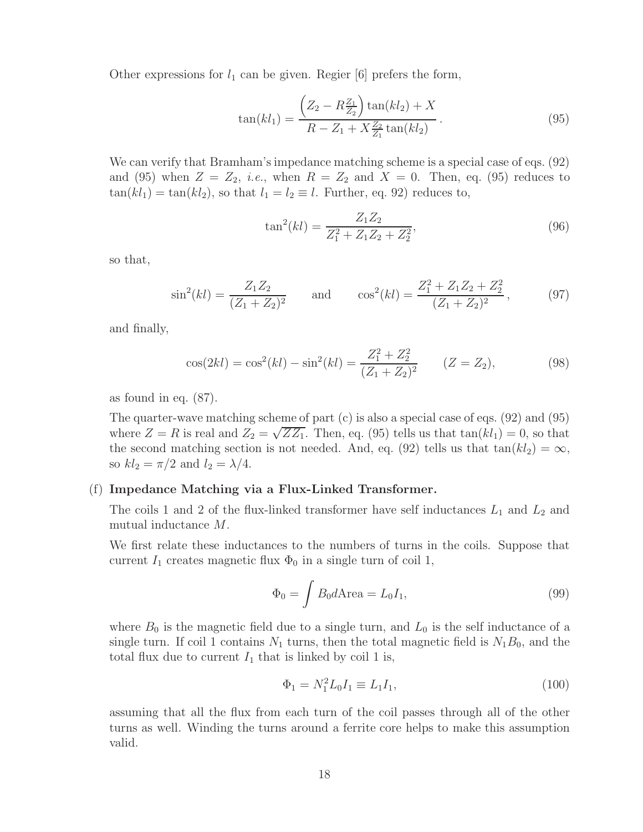Other expressions for  $l_1$  can be given. Regier [6] prefers the form,

$$
\tan(kl_1) = \frac{\left(Z_2 - R\frac{Z_1}{Z_2}\right)\tan(kl_2) + X}{R - Z_1 + X\frac{Z_2}{Z_1}\tan(kl_2)}.
$$
\n(95)

We can verify that Bramham's impedance matching scheme is a special case of eqs. (92) and (95) when  $Z = Z_2$ , *i.e.*, when  $R = Z_2$  and  $X = 0$ . Then, eq. (95) reduces to  $tan(kl_1) = tan(kl_2)$ , so that  $l_1 = l_2 \equiv l$ . Further, eq. 92) reduces to,

$$
\tan^2(kl) = \frac{Z_1 Z_2}{Z_1^2 + Z_1 Z_2 + Z_2^2},\tag{96}
$$

so that,

$$
\sin^2(kl) = \frac{Z_1 Z_2}{(Z_1 + Z_2)^2} \quad \text{and} \quad \cos^2(kl) = \frac{Z_1^2 + Z_1 Z_2 + Z_2^2}{(Z_1 + Z_2)^2}, \quad (97)
$$

and finally,

$$
\cos(2kl) = \cos^2(kl) - \sin^2(kl) = \frac{Z_1^2 + Z_2^2}{(Z_1 + Z_2)^2} \qquad (Z = Z_2),
$$
\n(98)

as found in eq. (87).

The quarter-wave matching scheme of part (c) is also a special case of eqs. (92) and (95) where  $Z = R$  is real and  $Z_2 = \sqrt{ZZ_1}$ . Then, eq. (95) tells us that  $tan(kl_1) = 0$ , so that the second matching section is not needed. And, eq. (92) tells us that  $tan(kl_2) = \infty$ , so  $kl_2 = \pi/2$  and  $l_2 = \lambda/4$ .

## (f) **Impedance Matching via a Flux-Linked Transformer.**

The coils 1 and 2 of the flux-linked transformer have self inductances  $L_1$  and  $L_2$  and mutual inductance M.

We first relate these inductances to the numbers of turns in the coils. Suppose that current  $I_1$  creates magnetic flux  $\Phi_0$  in a single turn of coil 1,

$$
\Phi_0 = \int B_0 d\text{Area} = L_0 I_1,\tag{99}
$$

where  $B_0$  is the magnetic field due to a single turn, and  $L_0$  is the self inductance of a single turn. If coil 1 contains  $N_1$  turns, then the total magnetic field is  $N_1B_0$ , and the total flux due to current  $I_1$  that is linked by coil 1 is,

$$
\Phi_1 = N_1^2 L_0 I_1 \equiv L_1 I_1,\tag{100}
$$

assuming that all the flux from each turn of the coil passes through all of the other turns as well. Winding the turns around a ferrite core helps to make this assumption valid.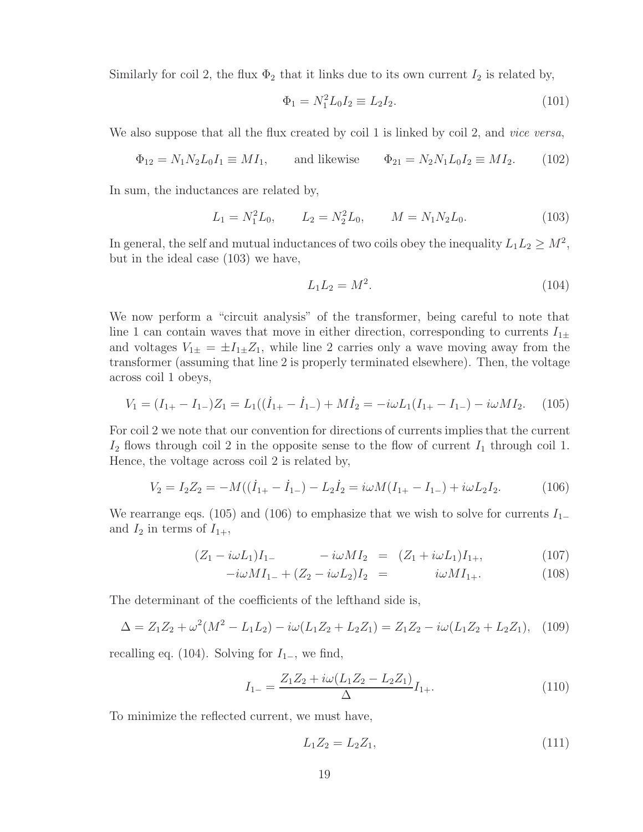Similarly for coil 2, the flux  $\Phi_2$  that it links due to its own current  $I_2$  is related by,

$$
\Phi_1 = N_1^2 L_0 I_2 \equiv L_2 I_2. \tag{101}
$$

We also suppose that all the flux created by coil 1 is linked by coil 2, and *vice versa*,

$$
\Phi_{12} = N_1 N_2 L_0 I_1 \equiv M I_1
$$
, and likewise  $\Phi_{21} = N_2 N_1 L_0 I_2 \equiv M I_2$ . (102)

In sum, the inductances are related by,

$$
L_1 = N_1^2 L_0, \qquad L_2 = N_2^2 L_0, \qquad M = N_1 N_2 L_0. \tag{103}
$$

In general, the self and mutual inductances of two coils obey the inequality  $L_1L_2 \geq M^2$ , but in the ideal case (103) we have,

$$
L_1 L_2 = M^2. \t\t(104)
$$

We now perform a "circuit analysis" of the transformer, being careful to note that line 1 can contain waves that move in either direction, corresponding to currents  $I_{1\pm}$ and voltages  $V_{1\pm} = \pm I_{1\pm} Z_1$ , while line 2 carries only a wave moving away from the transformer (assuming that line 2 is properly terminated elsewhere). Then, the voltage across coil 1 obeys,

$$
V_1 = (I_{1+} - I_{1-})Z_1 = L_1((\dot{I}_{1+} - \dot{I}_{1-}) + M\dot{I}_2 = -i\omega L_1(I_{1+} - I_{1-}) - i\omega M I_2. \tag{105}
$$

For coil 2 we note that our convention for directions of currents implies that the current  $I_2$  flows through coil 2 in the opposite sense to the flow of current  $I_1$  through coil 1. Hence, the voltage across coil 2 is related by,

$$
V_2 = I_2 Z_2 = -M((\dot{I}_{1+} - \dot{I}_{1-}) - L_2 \dot{I}_2 = i\omega M (I_{1+} - I_{1-}) + i\omega L_2 I_2.
$$
 (106)

We rearrange eqs. (105) and (106) to emphasize that we wish to solve for currents  $I_{1-}$ and  $I_2$  in terms of  $I_{1+}$ ,

$$
(Z_1 - i\omega L_1)I_{1-} - i\omega M I_2 = (Z_1 + i\omega L_1)I_{1+}, \qquad (107)
$$

$$
-i\omega M I_{1-} + (Z_2 - i\omega L_2)I_2 = i\omega M I_{1+}.
$$
 (108)

The determinant of the coefficients of the lefthand side is,

$$
\Delta = Z_1 Z_2 + \omega^2 (M^2 - L_1 L_2) - i\omega (L_1 Z_2 + L_2 Z_1) = Z_1 Z_2 - i\omega (L_1 Z_2 + L_2 Z_1), \quad (109)
$$

recalling eq. (104). Solving for  $I_{1-}$ , we find,

$$
I_{1-} = \frac{Z_1 Z_2 + i\omega (L_1 Z_2 - L_2 Z_1)}{\Delta} I_{1+}.
$$
\n(110)

To minimize the reflected current, we must have,

$$
L_1 Z_2 = L_2 Z_1,\t\t(111)
$$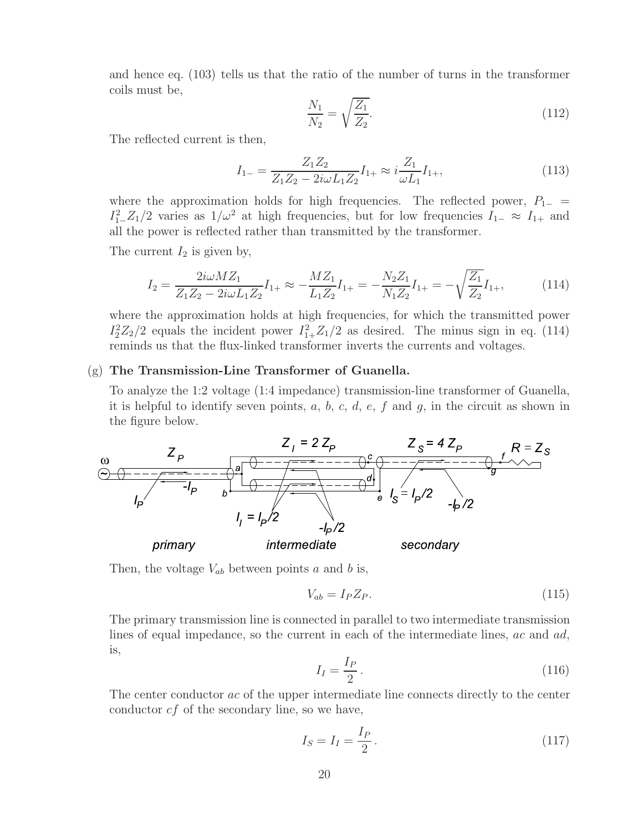and hence eq. (103) tells us that the ratio of the number of turns in the transformer coils must be,

$$
\frac{N_1}{N_2} = \sqrt{\frac{Z_1}{Z_2}}.\tag{112}
$$

The reflected current is then,

$$
I_{1-} = \frac{Z_1 Z_2}{Z_1 Z_2 - 2i\omega L_1 Z_2} I_{1+} \approx i \frac{Z_1}{\omega L_1} I_{1+},\tag{113}
$$

where the approximation holds for high frequencies. The reflected power,  $P_{1-}$  =  $I_1^2$   $Z_1/2$  varies as  $1/\omega^2$  at high frequencies, but for low frequencies  $I_{1-} \approx I_{1+}$  and all the power is reflected rather than transmitted by the transformer.

The current  $I_2$  is given by,

$$
I_2 = \frac{2i\omega M Z_1}{Z_1 Z_2 - 2i\omega L_1 Z_2} I_{1+} \approx -\frac{M Z_1}{L_1 Z_2} I_{1+} = -\frac{N_2 Z_1}{N_1 Z_2} I_{1+} = -\sqrt{\frac{Z_1}{Z_2}} I_{1+},\tag{114}
$$

where the approximation holds at high frequencies, for which the transmitted power  $I_2^2Z_2/2$  equals the incident power  $I_{1+}^2Z_1/2$  as desired. The minus sign in eq. (114) reminds us that the flux-linked transformer inverts the currents and voltages.

### (g) **The Transmission-Line Transformer of Guanella.**

To analyze the 1:2 voltage (1:4 impedance) transmission-line transformer of Guanella, it is helpful to identify seven points,  $a, b, c, d, e, f$  and  $g$ , in the circuit as shown in the figure below.



Then, the voltage  $V_{ab}$  between points a and b is,

$$
V_{ab} = I_P Z_P. \tag{115}
$$

The primary transmission line is connected in parallel to two intermediate transmission lines of equal impedance, so the current in each of the intermediate lines,  $ac$  and  $ad$ , is,

$$
I_I = \frac{I_P}{2} \,. \tag{116}
$$

The center conductor ac of the upper intermediate line connects directly to the center conductor  $cf$  of the secondary line, so we have,

$$
I_S = I_I = \frac{I_P}{2} \,. \tag{117}
$$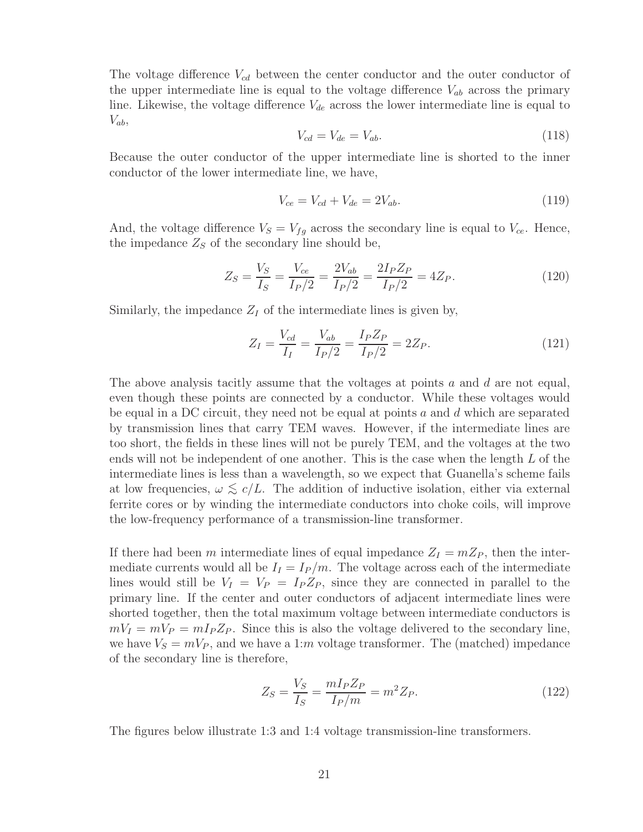The voltage difference  $V_{cd}$  between the center conductor and the outer conductor of the upper intermediate line is equal to the voltage difference  $V_{ab}$  across the primary line. Likewise, the voltage difference  $V_{de}$  across the lower intermediate line is equal to  $V_{ab}$ 

$$
V_{cd} = V_{de} = V_{ab}.\tag{118}
$$

Because the outer conductor of the upper intermediate line is shorted to the inner conductor of the lower intermediate line, we have,

$$
V_{ce} = V_{cd} + V_{de} = 2V_{ab}.
$$
\n(119)

And, the voltage difference  $V_s = V_{fg}$  across the secondary line is equal to  $V_{ce}$ . Hence, the impedance  $Z_S$  of the secondary line should be,

$$
Z_S = \frac{V_S}{I_S} = \frac{V_{ce}}{I_P/2} = \frac{2V_{ab}}{I_P/2} = \frac{2I_P Z_P}{I_P/2} = 4Z_P.
$$
 (120)

Similarly, the impedance  $Z_I$  of the intermediate lines is given by,

$$
Z_I = \frac{V_{cd}}{I_I} = \frac{V_{ab}}{I_P/2} = \frac{I_P Z_P}{I_P/2} = 2Z_P.
$$
 (121)

The above analysis tacitly assume that the voltages at points  $a$  and  $d$  are not equal, even though these points are connected by a conductor. While these voltages would be equal in a DC circuit, they need not be equal at points a and  $d$  which are separated by transmission lines that carry TEM waves. However, if the intermediate lines are too short, the fields in these lines will not be purely TEM, and the voltages at the two ends will not be independent of one another. This is the case when the length  $L$  of the intermediate lines is less than a wavelength, so we expect that Guanella's scheme fails at low frequencies,  $\omega \lesssim c/L$ . The addition of inductive isolation, either via external<br>family agree on his pin the intermediate can hatten into abelia sails will improve ferrite cores or by winding the intermediate conductors into choke coils, will improve the low-frequency performance of a transmission-line transformer.

If there had been m intermediate lines of equal impedance  $Z_I = mZ_P$ , then the intermediate currents would all be  $I_I = I_P/m$ . The voltage across each of the intermediate lines would still be  $V_I = V_P = I_P Z_P$ , since they are connected in parallel to the primary line. If the center and outer conductors of adjacent intermediate lines were shorted together, then the total maximum voltage between intermediate conductors is  $mV_I = mV_P = mI_P Z_P$ . Since this is also the voltage delivered to the secondary line, we have  $V_s = mV_P$ , and we have a 1:m voltage transformer. The (matched) impedance of the secondary line is therefore,

$$
Z_S = \frac{V_S}{I_S} = \frac{mI_P Z_P}{I_P/m} = m^2 Z_P.
$$
 (122)

The figures below illustrate 1:3 and 1:4 voltage transmission-line transformers.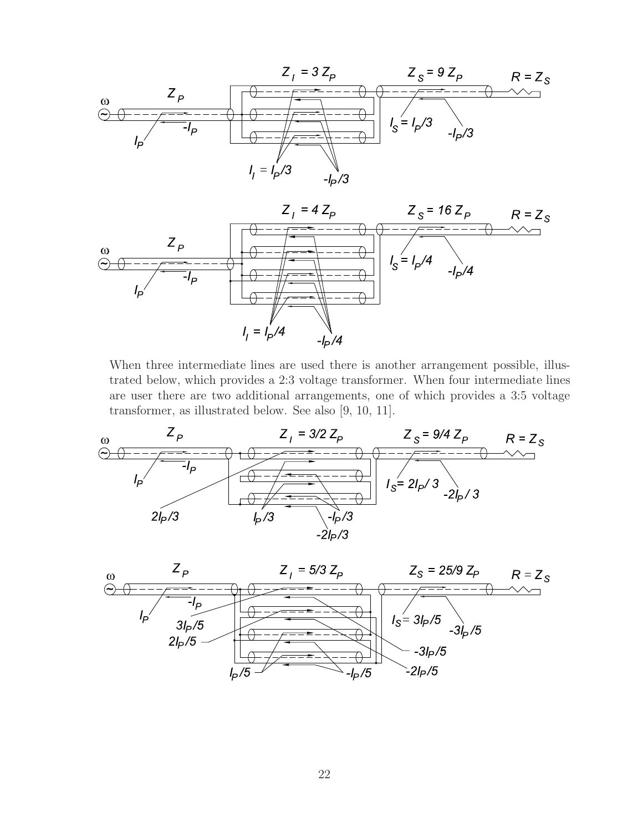



When three intermediate lines are used there is another arrangement possible, illustrated below, which provides a 2:3 voltage transformer. When four intermediate lines are user there are two additional arrangements, one of which provides a 3:5 voltage transformer, as illustrated below. See also [9, 10, 11].